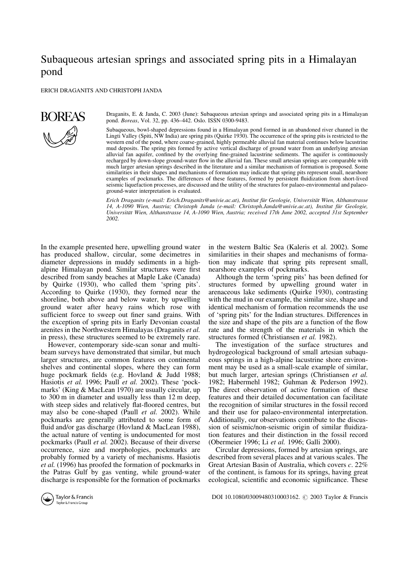# Subaqueous artesian springs and associated spring pits in a Himalayan pond

ERICH DRAGANITS AND CHRISTOPH JANDA



Draganits, E. & Janda, C. 2003 (June): Subaqueous artesian springs and associated spring pits in a Himalayan pond. *Boreas*, Vol. 32, pp. 436–442. Oslo. ISSN 0300-9483.

Subaqueous, bowl-shaped depressions found in a Himalayan pond formed in an abandoned river channel in the Lingti Valley (Spiti, NW India) are spring pits (Quirke 1930). The occurrence of the spring pits is restricted to the western end of the pond, where coarse-grained, highly permeable alluvial fan material continues below lacustrine mud deposits. The spring pits formed by active vertical discharge of ground water from an underlying artesian alluvial fan aquifer, confined by the overlying fine-grained lacustrine sediments. The aquifer is continuously recharged by down-slope ground-water flow in the alluvial fan. These small artesian springs are comparable with much larger artesian springs described in the literature and a similar mechanism of formation is proposed. Some similarities in their shapes and mechanisms of formation may indicate that spring pits represent small, nearshore examples of pockmarks. The differences of these features, formed by persistent fluidization from short-lived seismic liquefaction processes, are discussed and the utility of the structures for palaeo-environmental and palaeoground-water interpretation is evaluated.

*Erich Draganits (e-mail: Erich.Draganits@univie.ac.at), Institut fu¨r Geologie, Universita¨t Wien, Althanstrasse 14, A-1090 Wien, Austria; Christoph Janda (e-mail: Christoph.Janda@univie.ac.at), Institut fu¨r Geologie, Universita¨t Wien, Althanstrasse 14, A-1090 Wien, Austria; received 17th June 2002, accepted 31st September 2002.*

In the example presented here, upwelling ground water has produced shallow, circular, some decimetres in diameter depressions in muddy sediments in a highalpine Himalayan pond. Similar structures were first described from sandy beaches at Maple Lake (Canada) by Quirke (1930), who called them 'spring pits'. According to Quirke (1930), they formed near the shoreline, both above and below water, by upwelling ground water after heavy rains which rose with sufficient force to sweep out finer sand grains. With the exception of spring pits in Early Devonian coastal arenites in the Northwestern Himalayas (Draganits *et al.* in press), these structures seemed to be extremely rare.

However, contemporary side-scan sonar and multibeam surveys have demonstrated that similar, but much larger structures, are common features on continental shelves and continental slopes, where they can form huge pockmark fields (e.g. Hovland & Judd 1988; Hasiotis *et al.* 1996; Paull *et al.* 2002). These 'pockmarks' (King & MacLean 1970) are usually circular, up to 300 m in diameter and usually less than 12 m deep, with steep sides and relatively flat-floored centres, but may also be cone-shaped (Paull *et al.* 2002). While pockmarks are generally attributed to some form of fluid and/or gas discharge (Hovland & MacLean 1988), the actual nature of venting is undocumented for most pockmarks (Paull *et al.* 2002). Because of their diverse occurrence, size and morphologies, pockmarks are probably formed by a variety of mechanisms. Hasiotis *et al.* (1996) has proofed the formation of pockmarks in the Patras Gulf by gas venting, while ground-water discharge is responsible for the formation of pockmarks

in the western Baltic Sea (Kaleris et al. 2002). Some similarities in their shapes and mechanisms of formation may indicate that spring pits represent small, nearshore examples of pockmarks.

Although the term 'spring pits' has been defined for structures formed by upwelling ground water in arenaceous lake sediments (Quirke 1930), contrasting with the mud in our example, the similar size, shape and identical mechanism of formation recommends the use of 'spring pits' for the Indian structures. Differences in the size and shape of the pits are a function of the flow rate and the strength of the materials in which the structures formed (Christiansen *et al.* 1982).

The investigation of the surface structures and hydrogeological background of small artesian subaqueous springs in a high-alpine lacustrine shore environment may be used as a small-scale example of similar, but much larger, artesian springs (Christiansen *et al.* 1982; Habermehl 1982; Guhman & Pederson 1992). The direct observation of active formation of these features and their detailed documentation can facilitate the recognition of similar structures in the fossil record and their use for palaeo-environmental interpretation. Additionally, our observations contribute to the discussion of seismic/non-seismic origin of similar fluidization features and their distinction in the fossil record (Obermeier 1996; Li *et al.* 1996; Galli 2000).

Circular depressions, formed by artesian springs, are described from several places and at various scales. The Great Artesian Basin of Australia, which covers *c*. 22% of the continent, is famous for its springs, having great ecological, scientific and economic significance. These

Taylor & Francis Taylor & Francis Group

DOI 10.1080/03009480310003162. C 2003 Taylor & Francis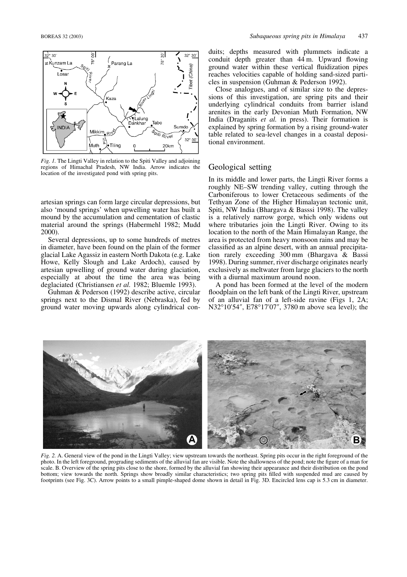

*Fig. 1.* The Lingti Valley in relation to the Spiti Valley and adjoining regions of Himachal Pradesh, NW India. Arrow indicates the location of the investigated pond with spring pits.

artesian springs can form large circular depressions, but also 'mound springs' when upwelling water has built a mound by the accumulation and cementation of clastic material around the springs (Habermehl 1982; Mudd 2000).

Several depressions, up to some hundreds of metres in diameter, have been found on the plain of the former glacial Lake Agassiz in eastern North Dakota (e.g. Lake Howe, Kelly Slough and Lake Ardoch), caused by artesian upwelling of ground water during glaciation, especially at about the time the area was being deglaciated (Christiansen *et al.* 1982; Bluemle 1993).

Guhman & Pederson (1992) describe active, circular springs next to the Dismal River (Nebraska), fed by ground water moving upwards along cylindrical con-

duits; depths measured with plummets indicate a conduit depth greater than 44 m. Upward flowing ground water within these vertical fluidization pipes reaches velocities capable of holding sand-sized particles in suspension (Guhman & Pederson 1992).

Close analogues, and of similar size to the depressions of this investigation, are spring pits and their underlying cylindrical conduits from barrier island arenites in the early Devonian Muth Formation, NW India (Draganits *et al.* in press). Their formation is explained by spring formation by a rising ground-water table related to sea-level changes in a coastal depositional environment.

#### Geological setting

In its middle and lower parts, the Lingti River forms a roughly NE–SW trending valley, cutting through the Carboniferous to lower Cretaceous sediments of the Tethyan Zone of the Higher Himalayan tectonic unit, Spiti, NW India (Bhargava & Basssi 1998). The valley is a relatively narrow gorge, which only widens out where tributaries join the Lingti River. Owing to its location to the north of the Main Himalayan Range, the area is protected from heavy monsoon rains and may be classified as an alpine desert, with an annual precipitation rarely exceeding 300 mm (Bhargava & Bassi 1998). During summer, river discharge originates nearly exclusively as meltwater from large glaciers to the north with a diurnal maximum around noon.

A pond has been formed at the level of the modern floodplain on the left bank of the Lingti River, upstream of an alluvial fan of a left-side ravine (Figs 1, 2A; N32°10'54", E78°17'07", 3780 m above sea level); the



*Fig. 2.* A. General view of the pond in the Lingti Valley; view upstream towards the northeast. Spring pits occur in the right foreground of the photo. In the left foreground, prograding sediments of the alluvial fan are visible. Note the shallowness of the pond; note the figure of a man for scale. B. Overview of the spring pits close to the shore, formed by the alluvial fan showing their appearance and their distribution on the pond bottom; view towards the north. Springs show broadly similar characteristics; two spring pits filled with suspended mud are caused by footprints (see Fig. 3C). Arrow points to a small pimple-shaped dome shown in detail in Fig. 3D. Encircled lens cap is 5.3 cm in diameter.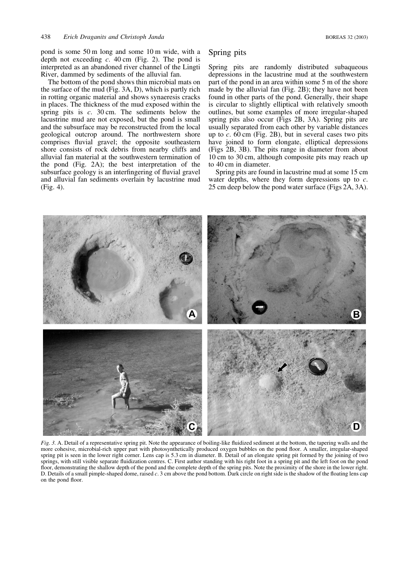pond is some 50 m long and some 10 m wide, with a depth not exceeding *c*. 40 cm (Fig. 2). The pond is interpreted as an abandoned river channel of the Lingti River, dammed by sediments of the alluvial fan.

The bottom of the pond shows thin microbial mats on the surface of the mud (Fig. 3A, D), which is partly rich in rotting organic material and shows synaeresis cracks in places. The thickness of the mud exposed within the spring pits is *c*. 30 cm. The sediments below the lacustrine mud are not exposed, but the pond is small and the subsurface may be reconstructed from the local geological outcrop around. The northwestern shore comprises fluvial gravel; the opposite southeastern shore consists of rock debris from nearby cliffs and alluvial fan material at the southwestern termination of the pond (Fig. 2A); the best interpretation of the subsurface geology is an interfingering of fluvial gravel and alluvial fan sediments overlain by lacustrine mud (Fig. 4).

# Spring pits

Spring pits are randomly distributed subaqueous depressions in the lacustrine mud at the southwestern part of the pond in an area within some 5 m of the shore made by the alluvial fan (Fig. 2B); they have not been found in other parts of the pond. Generally, their shape is circular to slightly elliptical with relatively smooth outlines, but some examples of more irregular-shaped spring pits also occur (Figs 2B, 3A). Spring pits are usually separated from each other by variable distances up to  $c$ .  $60 \text{ cm}$  (Fig. 2B), but in several cases two pits have joined to form elongate, elliptical depressions (Figs 2B, 3B). The pits range in diameter from about 10 cm to 30 cm, although composite pits may reach up to 40 cm in diameter.

Spring pits are found in lacustrine mud at some 15 cm water depths, where they form depressions up to *c*. 25 cm deep below the pond water surface (Figs 2A, 3A).



*Fig. 3.* A. Detail of a representative spring pit. Note the appearance of boiling-like fluidized sediment at the bottom, the tapering walls and the more cohesive, microbial-rich upper part with photosynthetically produced oxygen bubbles on the pond floor. A smaller, irregular-shaped spring pit is seen in the lower right corner. Lens cap is 5.3 cm in diameter. B. Detail of an elongate spring pit formed by the joining of two springs, with still visible separate fluidization centres. C. First author standing with his right foot in a spring pit and the left foot on the pond floor, demonstrating the shallow depth of the pond and the complete depth of the spring pits. Note the proximity of the shore in the lower right. D. Details of a small pimple-shaped dome, raised *c*. 3 cm above the pond bottom. Dark circle on right side is the shadow of the floating lens cap on the pond floor.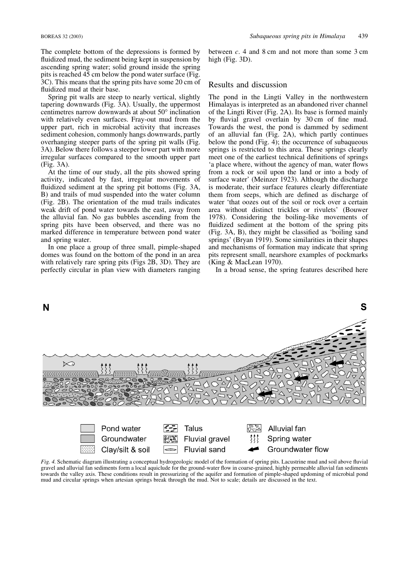The complete bottom of the depressions is formed by fluidized mud, the sediment being kept in suspension by ascending spring water; solid ground inside the spring pits is reached 45 cm below the pond water surface (Fig. 3C). This means that the spring pits have some 20 cm of fluidized mud at their base.

Spring pit walls are steep to nearly vertical, slightly tapering downwards (Fig. 3A). Usually, the uppermost centimetres narrow downwards at about 50° inclination with relatively even surfaces. Fray-out mud from the upper part, rich in microbial activity that increases sediment cohesion, commonly hangs downwards, partly overhanging steeper parts of the spring pit walls (Fig. 3A). Below there follows a steeper lower part with more irregular surfaces compared to the smooth upper part (Fig. 3A).

At the time of our study, all the pits showed spring activity, indicated by fast, irregular movements of fluidized sediment at the spring pit bottoms (Fig. 3A, B) and trails of mud suspended into the water column (Fig. 2B). The orientation of the mud trails indicates weak drift of pond water towards the east, away from the alluvial fan. No gas bubbles ascending from the spring pits have been observed, and there was no marked difference in temperature between pond water and spring water.

In one place a group of three small, pimple-shaped domes was found on the bottom of the pond in an area with relatively rare spring pits (Figs 2B, 3D). They are perfectly circular in plan view with diameters ranging

between *c*. 4 and 8 cm and not more than some 3 cm high (Fig. 3D).

#### Results and discussion

The pond in the Lingti Valley in the northwestern Himalayas is interpreted as an abandoned river channel of the Lingti River (Fig. 2A). Its base is formed mainly by fluvial gravel overlain by 30 cm of fine mud. Towards the west, the pond is dammed by sediment of an alluvial fan (Fig. 2A), which partly continues below the pond (Fig. 4); the occurrence of subaqueous springs is restricted to this area. These springs clearly meet one of the earliest technical definitions of springs 'a place where, without the agency of man, water flows from a rock or soil upon the land or into a body of surface water' (Meinzer 1923). Although the discharge is moderate, their surface features clearly differentiate them from seeps, which are defined as discharge of water 'that oozes out of the soil or rock over a certain area without distinct trickles or rivulets' (Bouwer 1978). Considering the boiling-like movements of fluidized sediment at the bottom of the spring pits (Fig. 3A, B), they might be classified as 'boiling sand springs' (Bryan 1919). Some similarities in their shapes and mechanisms of formation may indicate that spring pits represent small, nearshore examples of pockmarks (King & MacLean 1970).

In a broad sense, the spring features described here



*Fig. 4.* Schematic diagram illustrating a conceptual hydrogeologic model of the formation of spring pits. Lacustrine mud and soil above fluvial gravel and alluvial fan sediments form a local aquiclude for the ground-water flow in coarse-grained, highly permeable alluvial fan sediments towards the valley axis. These conditions result in pressurizing of the aquifer and formation of pimple-shaped updoming of microbial pond mud and circular springs when artesian springs break through the mud. Not to scale; details are discussed in the text.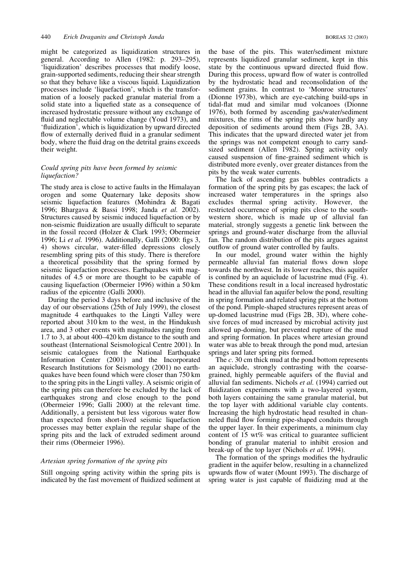might be categorized as liquidization structures in general. According to Allen (1982: p. 293–295), 'liquidization' describes processes that modify loose, grain-supported sediments, reducing their shear strength so that they behave like a viscous liquid. Liquidization processes include 'liquefaction', which is the transformation of a loosely packed granular material from a solid state into a liquefied state as a consequence of increased hydrostatic pressure without any exchange of fluid and neglectable volume change (Youd 1973), and 'fluidization', which is liquidization by upward directed flow of externally derived fluid in a granular sediment body, where the fluid drag on the detrital grains exceeds their weight.

## *Could spring pits have been formed by seismic liquefaction?*

The study area is close to active faults in the Himalayan orogen and some Quaternary lake deposits show seismic liquefaction features (Mohindra & Bagati 1996; Bhargava & Bassi 1998; Janda *et al.* 2002). Structures caused by seismic induced liquefaction or by non-seismic fluidization are usually difficult to separate in the fossil record (Holzer & Clark 1993; Obermeier 1996; Li *et al.* 1996). Additionally, Galli (2000: figs 3, 4) shows circular, water-filled depressions closely resembling spring pits of this study. There is therefore a theoretical possibility that the spring formed by seismic liquefaction processes. Earthquakes with magnitudes of 4.5 or more are thought to be capable of causing liquefaction (Obermeier 1996) within a 50 km radius of the epicentre (Galli 2000).

During the period 3 days before and inclusive of the day of our observations (25th of July 1999), the closest magnitude 4 earthquakes to the Lingti Valley were reported about 310 km to the west, in the Hindukush area, and 3 other events with magnitudes ranging from 1.7 to 3, at about 400–420 km distance to the south and southeast (International Seismological Centre 2001). In seismic catalogues from the National Earthquake Information Center (2001) and the Incorporated Research Institutions for Seismology (2001) no earthquakes have been found which were closer than 750 km to the spring pits in the Lingti valley. A seismic origin of the spring pits can therefore be excluded by the lack of earthquakes strong and close enough to the pond (Obermeier 1996; Galli 2000) at the relevant time. Additionally, a persistent but less vigorous water flow than expected from short-lived seismic liquefaction processes may better explain the regular shape of the spring pits and the lack of extruded sediment around their rims (Obermeier 1996).

#### *Artesian spring formation of the spring pits*

Still ongoing spring activity within the spring pits is indicated by the fast movement of fluidized sediment at the base of the pits. This water/sediment mixture represents liquidized granular sediment, kept in this state by the continuous upward directed fluid flow. During this process, upward flow of water is controlled by the hydrostatic head and reconsolidation of the sediment grains. In contrast to 'Monroe structures' (Dionne 1973b), which are eye-catching build-ups in tidal-flat mud and similar mud volcanoes (Dionne 1976), both formed by ascending gas/water/sediment mixtures, the rims of the spring pits show hardly any deposition of sediments around them (Figs 2B, 3A). This indicates that the upward directed water jet from the springs was not competent enough to carry sandsized sediment (Allen 1982). Spring activity only caused suspension of fine-grained sediment which is distributed more evenly, over greater distances from the pits by the weak water currents.

The lack of ascending gas bubbles contradicts a formation of the spring pits by gas escapes; the lack of increased water temperatures in the springs also excludes thermal spring activity. However, the restricted occurrence of spring pits close to the southwestern shore, which is made up of alluvial fan material, strongly suggests a genetic link between the springs and ground-water discharge from the alluvial fan. The random distribution of the pits argues against outflow of ground water controlled by faults.

In our model, ground water within the highly permeable alluvial fan material flows down slope towards the northwest. In its lower reaches, this aquifer is confined by an aquiclude of lacustrine mud (Fig. 4). These conditions result in a local increased hydrostatic head in the alluvial fan aquifer below the pond, resulting in spring formation and related spring pits at the bottom of the pond. Pimple-shaped structures represent areas of up-domed lacustrine mud (Figs 2B, 3D), where cohesive forces of mud increased by microbial activity just allowed up-doming, but prevented rupture of the mud and spring formation. In places where artesian ground water was able to break through the pond mud, artesian springs and later spring pits formed.

The *c*. 30 cm thick mud at the pond bottom represents an aquiclude, strongly contrasting with the coarsegrained, highly permeable aquifers of the fluvial and alluvial fan sediments. Nichols *et al.* (1994) carried out fluidization experiments with a two-layered system, both layers containing the same granular material, but the top layer with additional variable clay contents. Increasing the high hydrostatic head resulted in channeled fluid flow forming pipe-shaped conduits through the upper layer. In their experiments, a minimum clay content of 15 wt% was critical to guarantee sufficient bonding of granular material to inhibit erosion and break-up of the top layer (Nichols *et al.* 1994).

The formation of the springs modifies the hydraulic gradient in the aquifer below, resulting in a channelized upwards flow of water (Mount 1993). The discharge of spring water is just capable of fluidizing mud at the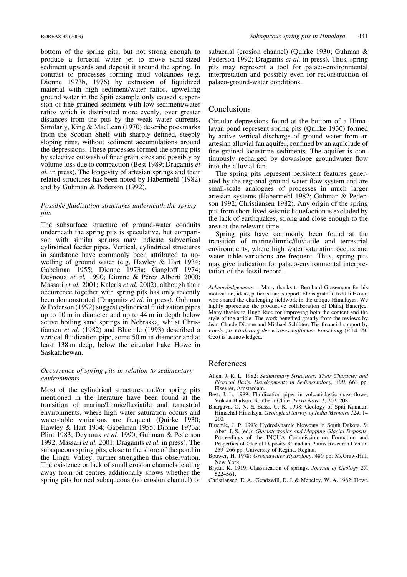bottom of the spring pits, but not strong enough to produce a forceful water jet to move sand-sized sediment upwards and deposit it around the spring. In contrast to processes forming mud volcanoes (e.g. Dionne 1973b, 1976) by extrusion of liquidized material with high sediment/water ratios, upwelling ground water in the Spiti example only caused suspension of fine-grained sediment with low sediment/water ratios which is distributed more evenly, over greater distances from the pits by the weak water currents. Similarly, King & MacLean (1970) describe pockmarks from the Scotian Shelf with sharply defined, steeply sloping rims, without sediment accumulations around the depressions. These processes formed the spring pits by selective outwash of finer grain sizes and possibly by volume loss due to compaction (Best 1989; Draganits *et al.* in press). The longevity of artesian springs and their related structures has been noted by Habermehl (1982) and by Guhman & Pederson (1992).

## *Possible fluidization structures underneath the spring pits*

The subsurface structure of ground-water conduits underneath the spring pits is speculative, but comparison with similar springs may indicate subvertical cylindrical feeder pipes. Vertical, cylindrical structures in sandstone have commonly been attributed to upwelling of ground water (e.g. Hawley & Hart 1934; Gabelman 1955; Dionne 1973a; Gangloff 1974; Deynoux et al. 1990; Dionne & Pérez Alberti 2000; Massari *et al.* 2001; Kaleris *et al.* 2002), although their occurrence together with spring pits has only recently been demonstrated (Draganits *et al.* in press). Guhman & Pederson (1992) suggest cylindrical fluidization pipes up to 10 m in diameter and up to 44 m in depth below active boiling sand springs in Nebraska, whilst Christiansen *et al.* (1982) and Bluemle (1993) described a vertical fluidization pipe, some 50 m in diameter and at least 138 m deep, below the circular Lake Howe in Saskatchewan.

## *Occurrence of spring pits in relation to sedimentary environments*

Most of the cylindrical structures and/or spring pits mentioned in the literature have been found at the transition of marine/limnic/fluviatile and terrestrial environments, where high water saturation occurs and water-table variations are frequent (Quirke 1930; Hawley & Hart 1934; Gabelman 1955; Dionne 1973a; Plint 1983; Deynoux *et al.* 1990; Guhman & Pederson 1992; Massari *et al.* 2001; Draganits *et al.* in press). The subaqueous spring pits, close to the shore of the pond in the Lingti Valley, further strengthen this observation. The existence or lack of small erosion channels leading away from pit centres additionally shows whether the spring pits formed subaqueous (no erosion channel) or

subaerial (erosion channel) (Quirke 1930; Guhman & Pederson 1992; Draganits *et al.* in press). Thus, spring pits may represent a tool for palaeo-environmental interpretation and possibly even for reconstruction of palaeo-ground-water conditions.

### Conclusions

Circular depressions found at the bottom of a Himalayan pond represent spring pits (Quirke 1930) formed by active vertical discharge of ground water from an artesian alluvial fan aquifer, confined by an aquiclude of fine-grained lacustrine sediments. The aquifer is continuously recharged by downslope groundwater flow into the alluvial fan.

The spring pits represent persistent features generated by the regional ground-water flow system and are small-scale analogues of processes in much larger artesian systems (Habermehl 1982; Guhman & Pederson 1992; Christiansen 1982). Any origin of the spring pits from short-lived seismic liquefaction is excluded by the lack of earthquakes, strong and close enough to the area at the relevant time.

Spring pits have commonly been found at the transition of marine/limnic/fluviatile and terrestrial environments, where high water saturation occurs and water table variations are frequent. Thus, spring pits may give indication for palaeo-environmental interpretation of the fossil record.

*Acknowledgements. –* Many thanks to Bernhard Grasemann for his motivation, ideas, patience and support. ED is grateful to Ulli Exner, who shared the challenging fieldwork in the unique Himalayas. We highly appreciate the productive collaboration of Dhiraj Banerjee. Many thanks to Hugh Rice for improving both the content and the style of the article. The work benefited greatly from the reviews by Jean-Claude Dionne and Michael Schlüter. The financial support by *Fonds zur Fo¨rderung der wissenschaftlichen Forschung* (P-14129- Geo) is acknowledged.

## References

- Allen, J. R. L. 1982: *Sedimentary Structures: Their Character and Physical Basis. Developments in Sedimentology, 30B*, 663 pp. Elsevier, Amsterdam.
- Best, J. L. 1989: Fluidization pipes in volcaniclastic mass flows, Volcan Hudson, Southern Chile. *Terra Nova 1*, 203–208.
- Bhargava, O. N. & Bassi, U. K. 1998: Geology of Spiti-Kinnaur, Himachal Himalaya. *Geological Survey of India Memoirs 124*, 1– 210.
- Bluemle, J. P. 1993: Hydrodynamic blowouts in South Dakota. *In* Aber, J. S. (ed.): *Glaciotectonics and Mapping Glacial Deposits.* Proceedings of the INQUA Commission on Formation and Properties of Glacial Deposits, Canadian Plains Research Center, 259–266 pp. University of Regina, Regina.
- Bouwer, H. 1978: *Groundwater Hydrology*. 480 pp. McGraw-Hill, New York.
- Bryan, K. 1919: Classification of springs. *Journal of Geology 27*, 522–561.
- Christiansen, E. A., Gendzwill, D. J. & Meneley, W. A. 1982: Howe